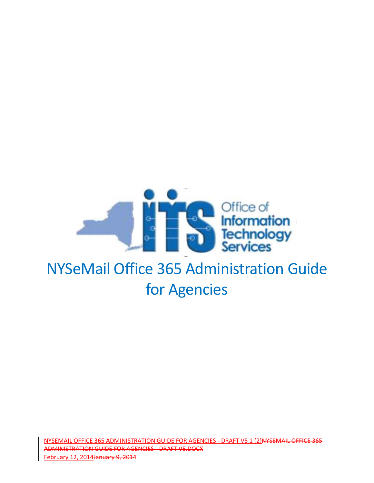

# for Agencies

NYSEMAIL OFFICE 365 ADMINISTRATION GUIDE FOR AGENCIES - DRAFT V5 1 (2)NYSEMAIL OFFICE 365 ADMINISTRATION GUIDE FOR AGENCIES - DRAFT V5.DOCX February 12, 2014January 9, 2014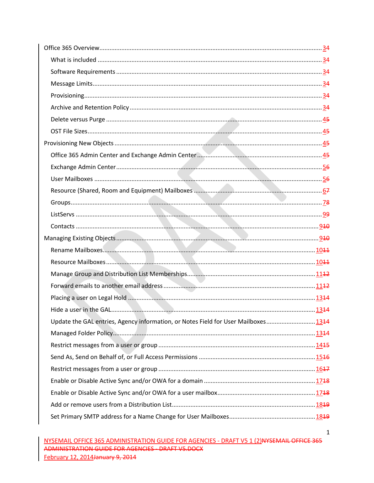| Update the GAL entries, Agency information, or Notes Field for User Mailboxes1344 |  |
|-----------------------------------------------------------------------------------|--|
|                                                                                   |  |
|                                                                                   |  |
|                                                                                   |  |
|                                                                                   |  |
|                                                                                   |  |
|                                                                                   |  |
|                                                                                   |  |
|                                                                                   |  |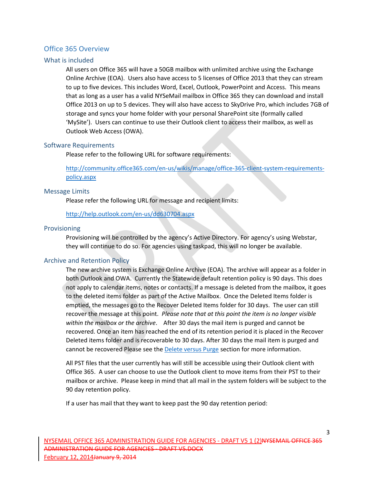## <span id="page-3-0"></span>Office 365 Overview

## <span id="page-3-1"></span>What is included

All users on Office 365 will have a 50GB mailbox with unlimited archive using the Exchange Online Archive (EOA). Users also have access to 5 licenses of Office 2013 that they can stream to up to five devices. This includes Word, Excel, Outlook, PowerPoint and Access. This means that as long as a user has a valid NYSeMail mailbox in Office 365 they can download and install Office 2013 on up to 5 devices. They will also have access to SkyDrive Pro, which includes 7GB of storage and syncs your home folder with your personal SharePoint site (formally called 'MySite'). Users can continue to use their Outlook client to access their mailbox, as well as Outlook Web Access (OWA).

#### <span id="page-3-2"></span>Software Requirements

Please refer to the following URL for software requirements:

[http://community.office365.com/en-us/wikis/manage/office-365-client-system-requirements](http://community.office365.com/en-us/wikis/manage/office-365-client-system-requirements-policy.aspx)[policy.aspx](http://community.office365.com/en-us/wikis/manage/office-365-client-system-requirements-policy.aspx)

#### <span id="page-3-3"></span>Message Limits

Please refer the following URL for message and recipient limits:

<http://help.outlook.com/en-us/dd630704.aspx>

#### <span id="page-3-4"></span>Provisioning

Provisioning will be controlled by the agency's Active Directory. For agency's using Webstar, they will continue to do so. For agencies using taskpad, this will no longer be available.

## <span id="page-3-5"></span>Archive and Retention Policy

The new archive system is Exchange Online Archive (EOA). The archive will appear as a folder in both Outlook and OWA. Currently the Statewide default retention policy is 90 days. This does not apply to calendar items, notes or contacts. If a message is deleted from the mailbox, it goes to the deleted items folder as part of the Active Mailbox. Once the Deleted Items folder is emptied, the messages go to the Recover Deleted Items folder for 30 days. The user can still recover the message at this point. *Please note that at this point the item is no longer visible within the mailbox or the archive*. After 30 days the mail item is purged and cannot be recovered. Once an item has reached the end of its retention period it is placed in the Recover Deleted items folder and is recoverable to 30 days. After 30 days the mail item is purged and cannot be recovered Please see th[e Delete versus Purge](#page-4-0) section for more information.

All PST files that the user currently has will still be accessible using their Outlook client with Office 365. A user can choose to use the Outlook client to move items from their PST to their mailbox or archive. Please keep in mind that all mail in the system folders will be subject to the 90 day retention policy.

If a user has mail that they want to keep past the 90 day retention period: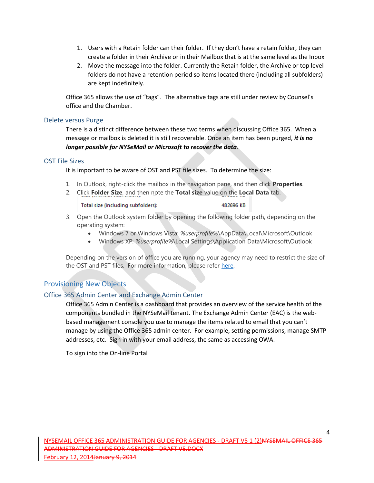- 1. Users with a Retain folder can their folder. If they don't have a retain folder, they can create a folder in their Archive or in their Mailbox that is at the same level as the Inbox
- 2. Move the message into the folder. Currently the Retain folder, the Archive or top level folders do not have a retention period so items located there (including all subfolders) are kept indefinitely.

Office 365 allows the use of "tags". The alternative tags are still under review by Counsel's office and the Chamber.

#### <span id="page-4-0"></span>Delete versus Purge

There is a distinct difference between these two terms when discussing Office 365. When a message or mailbox is deleted it is still recoverable. Once an item has been purged, *it is no longer possible for NYSeMail or Microsoft to recover the data*.

#### <span id="page-4-1"></span>OST File Sizes

It is important to be aware of OST and PST file sizes. To determine the size:

- 1. In Outlook, right-click the mailbox in the navigation pane, and then click **Properties**.
- 2. Click **Folder Size**, and then note the **Total size** value on the **Local Data** tab.

Total size (including subfolders):

482696 KB

- 3. Open the Outlook system folder by opening the following folder path, depending on the operating system:
	- Windows 7 or Windows Vista: *%userprofile%*\AppData\Local\Microsoft\Outlook
	- Windows XP: *%userprofile%*\Local Settings\Application Data\Microsoft\Outlook

Depending on the version of office you are running, your agency may need to restrict the size of the OST and PST files. For more information, please refer [here.](http://support.microsoft.com/kb/832925)

## <span id="page-4-2"></span>Provisioning New Objects

## <span id="page-4-3"></span>Office 365 Admin Center and Exchange Admin Center

Office 365 Admin Center is a dashboard that provides an overview of the service health of the components bundled in the NYSeMail tenant. The Exchange Admin Center (EAC) is the webbased management console you use to manage the items related to email that you can't manage by using the Office 365 admin center. For example, setting permissions, manage SMTP addresses, etc. Sign in with your email address, the same as accessing OWA.

To sign into the On-line Portal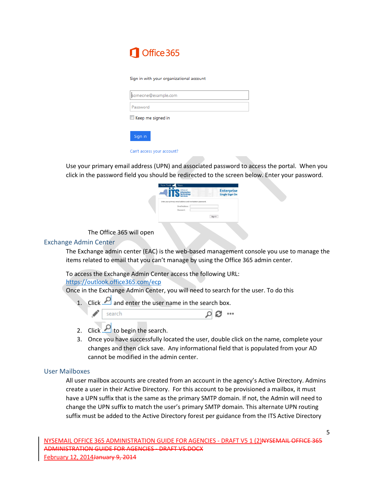## Office 365

#### Sign in with your organizational account

| someone@example.com |  |  |
|---------------------|--|--|
| Password            |  |  |
| Keep me signed in   |  |  |
| Sign in             |  |  |

#### Can't access your account?

Use your primary email address (UPN) and associated password to access the portal. When you click in the password field you should be redirected to the screen below. Enter your password.

| Office of<br><b>Information</b><br>Technology              | <b>Enterprise</b><br><b>Single Sign On</b> |
|------------------------------------------------------------|--------------------------------------------|
| Enter your primary email address and workstation password. |                                            |
| Email Address:                                             |                                            |
| Password:                                                  |                                            |
|                                                            | Sign In                                    |
|                                                            |                                            |

The Office 365 will open

#### <span id="page-5-0"></span>Exchange Admin Center

The Exchange admin center (EAC) is the web-based management console you use to manage the items related to email that you can't manage by using the Office 365 admin center.

To access the Exchange Admin Center access the following URL:

#### <https://outlook.office365.com/ecp>

Once in the Exchange Admin Center, you will need to search for the user. To do this

1. Click  $\Box$  and enter the user name in the search box.



- 2. Click  $\Box$  to begin the search.
- 3. Once you have successfully located the user, double click on the name, complete your changes and then click save. Any informational field that is populated from your AD cannot be modified in the admin center.

#### <span id="page-5-1"></span>User Mailboxes

All user mailbox accounts are created from an account in the agency's Active Directory. Admins create a user in their Active Directory. For this account to be provisioned a mailbox, it must have a UPN suffix that is the same as the primary SMTP domain. If not, the Admin will need to change the UPN suffix to match the user's primary SMTP domain. This alternate UPN routing suffix must be added to the Active Directory forest per guidance from the ITS Active Directory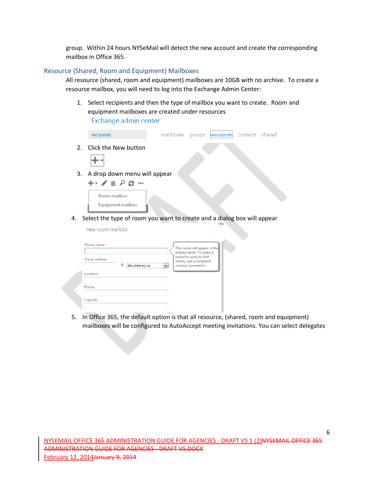group. Within 24 hours NYSeMail will detect the new account and create the corresponding mailbox in Office 365.

#### <span id="page-6-0"></span>Resource (Shared, Room and Equipment) Mailboxes

All resource (shared, room and equipment) mailboxes are 10GB with no archive. To create a resource mailbox, you will need to log into the Exchange Admin Center:

1. Select recipients and then the type of mailbox you want to create. Room and equipment mailboxes are created under resources Exchange admin center

| recipients                                                                          |  | mailboxes groups resources                                  | contacts shared |  |
|-------------------------------------------------------------------------------------|--|-------------------------------------------------------------|-----------------|--|
| 2. Click the New button                                                             |  |                                                             |                 |  |
| 3. A drop down menu will appear<br>十 ノ 面 ノ ロ …<br>Room mailbox<br>Equipment mailbox |  |                                                             |                 |  |
|                                                                                     |  | $\mathbf{1} \cdot \mathbf{1}$ $\mathbf{1} \cdot \mathbf{1}$ |                 |  |

4. Select the type of room you want to create and a dialog box will appear

new room mailbox

| *Email address: |   |                 |                          | This name will appear in the<br>address book. To make it<br>easier for users to find<br>rooms, use a consistent |
|-----------------|---|-----------------|--------------------------|-----------------------------------------------------------------------------------------------------------------|
| Location:       | ◎ | abc.state.ny.us | $\overline{\phantom{a}}$ | naming convention.                                                                                              |
| Phone:          |   |                 |                          |                                                                                                                 |
| Capacity:       |   |                 |                          |                                                                                                                 |

5. In Office 365, the default option is that all resource, (shared, room and equipment) mailboxes will be configured to AutoAccept meeting invitations. You can select delegates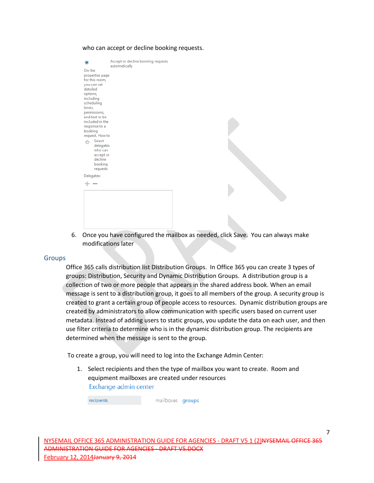| $\bullet$                                                                                                                                                                                                                                                                                                          | Accept or decline booking requests<br>automatically |
|--------------------------------------------------------------------------------------------------------------------------------------------------------------------------------------------------------------------------------------------------------------------------------------------------------------------|-----------------------------------------------------|
| On the<br>properties page<br>for this room,<br>you can set<br>detailed<br>options,<br>including<br>scheduling<br>limits,<br>permissions,<br>and text to be<br>included in the<br>response to a<br>booking<br>request. How to<br>Select<br>∩<br>delegates<br>who can<br>accept or<br>decline<br>booking<br>requests |                                                     |
| Delegates:                                                                                                                                                                                                                                                                                                         |                                                     |
| $+ -$                                                                                                                                                                                                                                                                                                              |                                                     |
|                                                                                                                                                                                                                                                                                                                    |                                                     |

#### who can accept or decline booking requests.

6. Once you have configured the mailbox as needed, click Save. You can always make modifications later

#### <span id="page-7-0"></span>Groups

Office 365 calls distribution list Distribution Groups. In Office 365 you can create 3 types of groups: Distribution, Security and Dynamic Distribution Groups. A distribution group is a collection of two or more people that appears in the shared address book. When an email message is sent to a distribution group, it goes to all members of the group. A security group is created to grant a certain group of people access to resources. Dynamic distribution groups are created by administrators to allow communication with specific users based on current user metadata. Instead of adding users to static groups, you update the data on each user, and then use filter criteria to determine who is in the dynamic distribution group. The recipients are determined when the message is sent to the group.

To create a group, you will need to log into the Exchange Admin Center:

1. Select recipients and then the type of mailbox you want to create. Room and equipment mailboxes are created under resourcesExchange admin center

recipients

mailboxes groups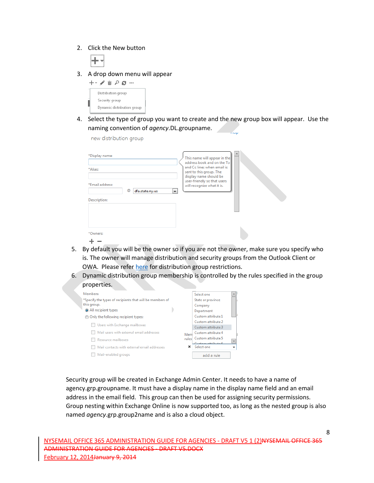2. Click the New button



3. A drop down menu will appear

| ┿ |                    | ມ | s |                            |
|---|--------------------|---|---|----------------------------|
|   | Distribution group |   |   |                            |
|   | Security group     |   |   |                            |
|   |                    |   |   | Dynamic distribution group |

4. Select the type of group you want to create and the new group box will appear. Use the naming convention of *agency*.DL.groupname.

new distribution group

| *Display name:<br>*Alias:                               | This name will appear in the<br>address book and on the To<br>and Cc lines when email is<br>sent to this group. The<br>display name should be<br>user-friendly so that users |
|---------------------------------------------------------|------------------------------------------------------------------------------------------------------------------------------------------------------------------------------|
| *Email address:<br>@<br>dfa.state.ny.us<br>Description: | will recognize what it is.<br>▼                                                                                                                                              |
| *Owners:                                                |                                                                                                                                                                              |

- 5. By default you will be the owner so if you are not the owner, make sure you specify who is. The owner will manage distribution and security groups from the Outlook Client or OWA. Please refer [here](http://help.outlook.com/en-us/140/dd630704.aspx#DistributionGroupLimits) for distribution group restrictions.
- 6. Dynamic distribution group membership is controlled by the rules specified in the group properties.



Security group will be created in Exchange Admin Center. It needs to have a name of agency.grp.groupname. It must have a display name in the display name field and an email address in the email field. This group can then be used for assigning security permissions. Group nesting within Exchange Online is now supported too, as long as the nested group is also named *agency*.grp.group2name and is also a cloud object.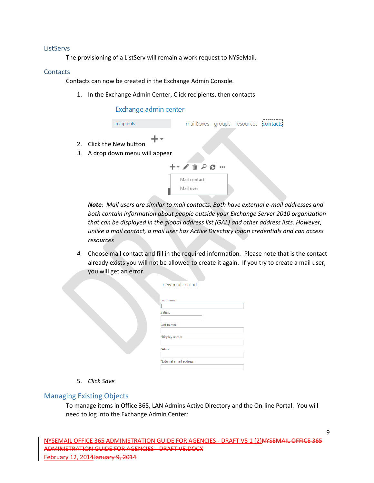#### <span id="page-9-0"></span>**ListServs**

The provisioning of a ListServ will remain a work request to NYSeMail.

#### <span id="page-9-1"></span>**Contacts**

Contacts can now be created in the Exchange Admin Console.

1. In the Exchange Admin Center, Click recipients, then contacts

#### Exchange admin center



*Note: Mail users are similar to mail contacts. Both have external e-mail addresses and both contain information about people outside your Exchange Server 2010 organization that can be displayed in the global address list (GAL) and other address lists. However, unlike a mail contact, a mail user has Active Directory logon credentials and can access resources*

*4.* Choose mail contact and fill in the required information*.* Please note that is the contact already exists you will not be allowed to create it again. If you try to create a mail user, you will get an error.

| new mail contact             |  |
|------------------------------|--|
| First name:<br>Initials:     |  |
| Last name:<br>*Display name: |  |
| *Alias:                      |  |
| *External email address:     |  |

5. *Click Save*

## <span id="page-9-2"></span>Managing Existing Objects

To manage items in Office 365, LAN Admins Active Directory and the On-line Portal. You will need to log into the Exchange Admin Center: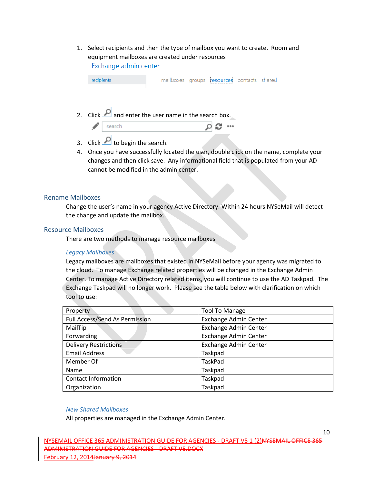1. Select recipients and then the type of mailbox you want to create. Room and equipment mailboxes are created under resources Exchange admin center

| recipients                                                 |  | <br>mailboxes groups resources contacts shared |  |
|------------------------------------------------------------|--|------------------------------------------------|--|
|                                                            |  |                                                |  |
| 2. Click $\Box$ and enter the user name in the search box. |  |                                                |  |
| search                                                     |  |                                                |  |

- 3. Click  $\Box$  to begin the search.
- 4. Once you have successfully located the user, double click on the name, complete your changes and then click save. Any informational field that is populated from your AD cannot be modified in the admin center.

#### <span id="page-10-0"></span>Rename Mailboxes

Change the user's name in your agency Active Directory. Within 24 hours NYSeMail will detect the change and update the mailbox.

#### <span id="page-10-1"></span>Resource Mailboxes

There are two methods to manage resource mailboxes

#### *Legacy Mailboxes*

Legacy mailboxes are mailboxes that existed in NYSeMail before your agency was migrated to the cloud. To manage Exchange related properties will be changed in the Exchange Admin Center. To manage Active Directory related items, you will continue to use the AD Taskpad. The Exchange Taskpad will no longer work. Please see the table below with clarification on which tool to use:

| Property                              | <b>Tool To Manage</b> |
|---------------------------------------|-----------------------|
| <b>Full Access/Send As Permission</b> | Exchange Admin Center |
| MailTip                               | Exchange Admin Center |
| Forwarding                            | Exchange Admin Center |
| <b>Delivery Restrictions</b>          | Exchange Admin Center |
| <b>Email Address</b>                  | Taskpad               |
| Member Of                             | TaskPad               |
| Name                                  | Taskpad               |
| <b>Contact Information</b>            | Taskpad               |
| Organization                          | Taskpad               |

#### *New Shared Mailboxes*

All properties are managed in the Exchange Admin Center.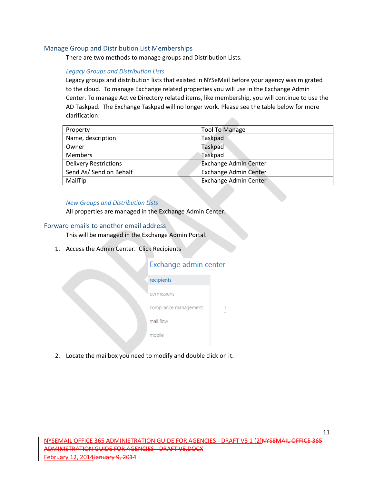#### <span id="page-11-0"></span>Manage Group and Distribution List Memberships

There are two methods to manage groups and Distribution Lists.

#### *Legacy Groups and Distribution Lists*

Legacy groups and distribution lists that existed in NYSeMail before your agency was migrated to the cloud. To manage Exchange related properties you will use in the Exchange Admin Center. To manage Active Directory related items, like membership, you will continue to use the AD Taskpad. The Exchange Taskpad will no longer work. Please see the table below for more clarification:

| Property                     | <b>Tool To Manage</b>        |
|------------------------------|------------------------------|
| Name, description            | Taskpad                      |
| Owner                        | <b>Taskpad</b>               |
| <b>Members</b>               | Taskpad                      |
| <b>Delivery Restrictions</b> | <b>Exchange Admin Center</b> |
| Send As/ Send on Behalf      | <b>Exchange Admin Center</b> |
| MailTip                      | <b>Exchange Admin Center</b> |

#### *New Groups and Distribution Lists*

All properties are managed in the Exchange Admin Center.

#### <span id="page-11-1"></span>Forward emails to another email address

This will be managed in the Exchange Admin Portal.

1. Access the Admin Center. Click Recipients

## Exchange admin center

| recipients            |  |
|-----------------------|--|
| permissions           |  |
| compliance management |  |
| mail flow             |  |
| mobile                |  |
|                       |  |

2. Locate the mailbox you need to modify and double click on it.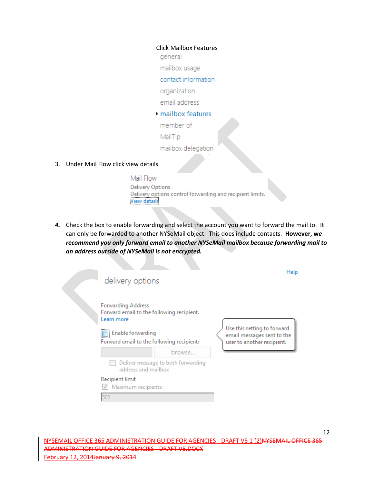#### Click Mailbox Features

general

mailbox usage

#### contact information

organization

email address

#### mailbox features

member of

MailTip

- mailbox delegation
- 3. Under Mail Flow click view details

Mail Flow **Delivery Options** Delivery options control forwarding and recipient limits. **View details** 

*4.* Check the box to enable forwarding and select the account you want to forward the mail to. It can only be forwarded to another NYSeMail object. This does include contacts. **However, w***e recommend you only forward email to another NYSeMail mailbox because forwarding mail to an address outside of NYSeMail is not encrypted.* 

| delivery options                                                                                                                                       |                                    | Help                                                                                    |
|--------------------------------------------------------------------------------------------------------------------------------------------------------|------------------------------------|-----------------------------------------------------------------------------------------|
| <b>Forwarding Address</b><br>Forward email to the following recipient.<br>Learn more<br>Enable forwarding<br>Forward email to the following recipient: |                                    | Use this setting to forward<br>email messages sent to the<br>user to another recipient. |
|                                                                                                                                                        | browse                             |                                                                                         |
| address and mailbox                                                                                                                                    | Deliver message to both forwarding |                                                                                         |
| <b>Recipient limit</b><br>Maximum recipients:                                                                                                          |                                    |                                                                                         |
| 500                                                                                                                                                    |                                    |                                                                                         |

12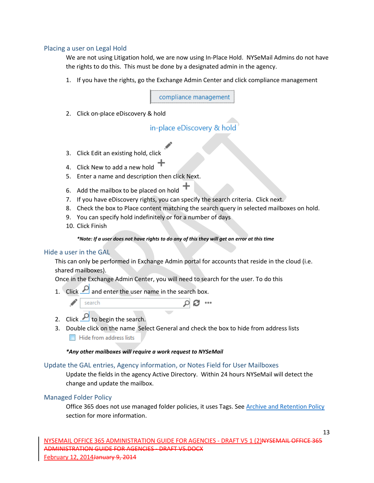#### <span id="page-13-0"></span>Placing a user on Legal Hold

We are not using Litigation hold, we are now using In-Place Hold. NYSeMail Admins do not have the rights to do this. This must be done by a designated admin in the agency.

1. If you have the rights, go the Exchange Admin Center and click compliance management

compliance management

2. Click on-place eDiscovery & hold

in-place eDiscovery & hold

- 3. Click Edit an existing hold, click
- 4. Click New to add a new hold
- 5. Enter a name and description then click Next.
- 6. Add the mailbox to be placed on hold  $+$
- 7. If you have eDiscovery rights, you can specify the search criteria. Click next.
- 8. Check the box to Place content matching the search query in selected mailboxes on hold.
- 9. You can specify hold indefinitely or for a number of days
- 10. Click Finish

#### *\*Note: If a user does not have rights to do any of this they will get an error at this time*

#### <span id="page-13-1"></span>Hide a user in the GAL

This can only be performed in Exchange Admin portal for accounts that reside in the cloud (i.e. shared mailboxes).

Once in the Exchange Admin Center, you will need to search for the user. To do this

1. Click  $\Box$  and enter the user name in the search box.

|  | 1. S.T |  |
|--|--------|--|
|  |        |  |

- 2. Click  $\Omega$  to begin the search.
- 3. Double click on the name Select General and check the box to hide from address lists Hide from address lists

*\*Any other mailboxes will require a work request to NYSeMail*

#### <span id="page-13-2"></span>Update the GAL entries, Agency information, or Notes Field for User Mailboxes

Update the fields in the agency Active Directory. Within 24 hours NYSeMail will detect the change and update the mailbox.

#### <span id="page-13-3"></span>Managed Folder Policy

Office 365 does not use managed folder policies, it uses Tags. See [Archive and Retention Policy](#page-3-5) section for more information.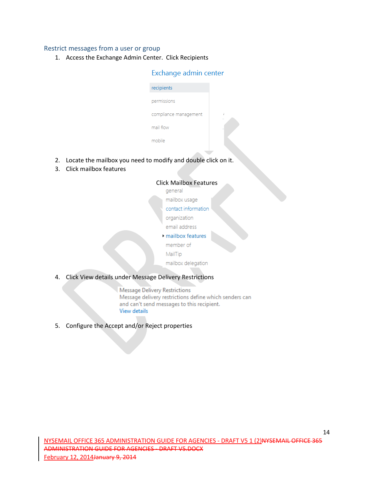#### <span id="page-14-0"></span>Restrict messages from a user or group

1. Access the Exchange Admin Center. Click Recipients

## Exchange admin center

| recipients            |  |
|-----------------------|--|
| permissions           |  |
| compliance management |  |
| mail flow             |  |
| mobile                |  |

- 2. Locate the mailbox you need to modify and double click on it.
- 3. Click mailbox features

| <b>Click Mailbox Features</b> |                                   |  |  |
|-------------------------------|-----------------------------------|--|--|
|                               | general                           |  |  |
|                               | mailbox usage                     |  |  |
|                               | contact information               |  |  |
|                               | organization                      |  |  |
|                               | email address                     |  |  |
|                               | $\triangleright$ mailbox features |  |  |
|                               | member of                         |  |  |
|                               | MailTip                           |  |  |
|                               | mailbox delegation                |  |  |
|                               |                                   |  |  |

## 4. Click View details under Message Delivery Restrictions

Message Delivery Restrictions Message delivery restrictions define which senders can and can't send messages to this recipient. View details

5. Configure the Accept and/or Reject properties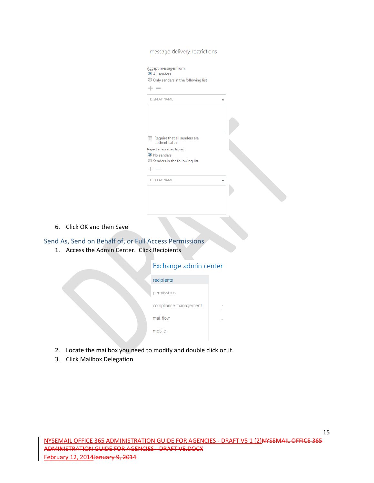| message delivery restrictions                                                                                 |   |  |
|---------------------------------------------------------------------------------------------------------------|---|--|
| Accept messages from:<br>All senders<br>O Only senders in the following list<br>÷<br>$\overline{\phantom{a}}$ |   |  |
| <b>DISPLAY NAME</b>                                                                                           |   |  |
| Require that all senders are<br>$\blacksquare$<br>authenticated                                               |   |  |
| Reject messages from:<br><sup>O</sup> No senders<br>Senders in the following list                             |   |  |
| $\overline{\phantom{a}}$<br>--                                                                                |   |  |
| <b>DISPLAY NAME</b>                                                                                           | ▲ |  |
|                                                                                                               |   |  |

6. Click OK and then Save

## <span id="page-15-0"></span>Send As, Send on Behalf of, or Full Access Permissions

1. Access the Admin Center. Click Recipients

| Exchange admin center |   |
|-----------------------|---|
| recipients            |   |
| permissions           |   |
| compliance management | ć |
| mail flow             |   |
| mobile                |   |
|                       |   |

- 2. Locate the mailbox you need to modify and double click on it.
- 3. Click Mailbox Delegation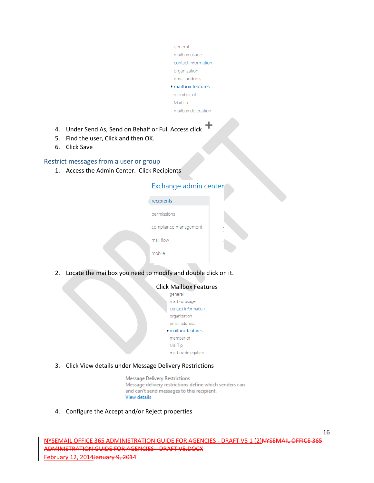- general mailbox usage contact information organization email address mailbox features member of MailTip mailbox delegation
- 4. Under Send As, Send on Behalf or Full Access click
- 5. Find the user, Click and then OK.
- 6. Click Save

#### <span id="page-16-0"></span>Restrict messages from a user or group

1. Access the Admin Center. Click Recipients

## Exchange admin center

| recipients            |
|-----------------------|
| permissions           |
| compliance management |
| mail flow             |
| mobile                |

2. Locate the mailbox you need to modify and double click on it.

| Click Mailbox Features                 |
|----------------------------------------|
| general                                |
| mailbox usage                          |
| contact information                    |
| organization                           |
| email address                          |
| $\blacktriangleright$ mailbox features |
| member of                              |
| MailTip                                |
| mailbox delegation                     |
|                                        |

3. Click View details under Message Delivery Restrictions

Message Delivery Restrictions Message delivery restrictions define which senders can and can't send messages to this recipient. View details

4. Configure the Accept and/or Reject properties

16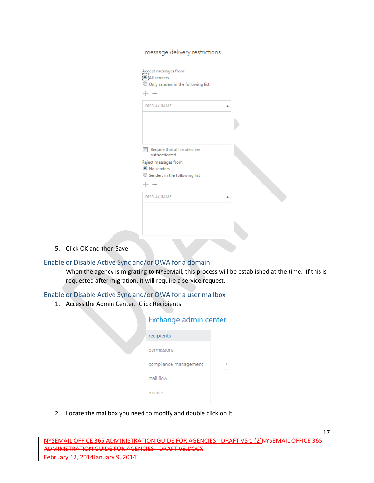| $\sim$<br>--                                                            |   |  |
|-------------------------------------------------------------------------|---|--|
| <b>DISPLAY NAME</b>                                                     |   |  |
|                                                                         |   |  |
|                                                                         |   |  |
|                                                                         |   |  |
| Require that all senders are<br>authenticated                           |   |  |
| Reject messages from:                                                   |   |  |
| <sup>O</sup> No senders<br>$\circledcirc$ Senders in the following list |   |  |
| --<br>$\sim$                                                            |   |  |
| <b>DISPLAY NAME</b>                                                     | A |  |
|                                                                         |   |  |

message delivery restrictions

5. Click OK and then Save

## <span id="page-17-0"></span>Enable or Disable Active Sync and/or OWA for a domain

When the agency is migrating to NYSeMail, this process will be established at the time. If this is requested after migration, it will require a service request.

## <span id="page-17-1"></span>Enable or Disable Active Sync and/or OWA for a user mailbox

1. Access the Admin Center. Click Recipients

## Exchange admin center

| recipients            |  |
|-----------------------|--|
| permissions           |  |
| compliance management |  |
| mail flow             |  |
| mobile                |  |

2. Locate the mailbox you need to modify and double click on it.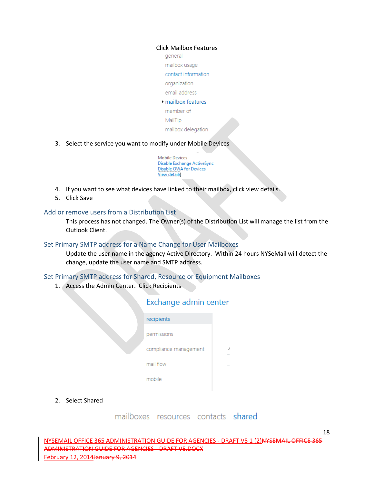#### Click Mailbox Features

general

mailbox usage

contact information

organization

email address

#### mailbox features

member of

MailTip

mailbox delegation

3. Select the service you want to modify under Mobile Devices

**Mobile Devices** Disable Exchange ActiveSync **Disable OWA for Devices View details** 

- 4. If you want to see what devices have linked to their mailbox, click view details.
- 5. Click Save

#### <span id="page-18-0"></span>Add or remove users from a Distribution List

This process has not changed. The Owner(s) of the Distribution List will manage the list from the Outlook Client.

#### <span id="page-18-1"></span>Set Primary SMTP address for a Name Change for User Mailboxes

Update the user name in the agency Active Directory. Within 24 hours NYSeMail will detect the change, update the user name and SMTP address.

#### <span id="page-18-2"></span>Set Primary SMTP address for Shared, Resource or Equipment Mailboxes

1. Access the Admin Center. Click Recipients

| Exchange admin center |  |  |
|-----------------------|--|--|
| recipients            |  |  |
| permissions           |  |  |
| compliance management |  |  |
| mail flow             |  |  |
| mobile                |  |  |
|                       |  |  |

2. Select Shared

| mailboxes | resources | <i>contacts</i> | shared |
|-----------|-----------|-----------------|--------|
|           |           |                 |        |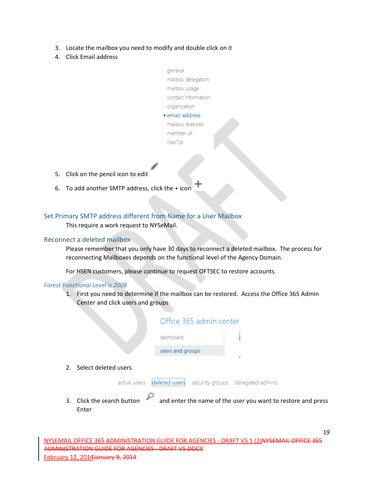- 3. Locate the mailbox you need to modify and double click on it
- 4. Click Email address
- general mailbox delegation mailbox usage contact information organization
- ▶ email address mailbox features member of MailTip
- 5. Click on the pencil icon to edit
- 6. To add another SMTP address, click the + icon

## <span id="page-19-0"></span>Set Primary SMTP address different from Name for a User Mailbox

This require a work request to NYSeMail.

## <span id="page-19-1"></span>Reconnect a deleted mailbox

Please remember that you only have 30 days to reconnect a deleted mailbox. The process for reconnecting Mailboxes depends on the functional level of the Agency Domain.

For HSEN customers, please continue to request OFTSEC to restore accounts.

#### *Forest Functional Level is 2008*

1. First you need to determine if the mailbox can be restored. Access the Office 365 Admin Center and click users and groups

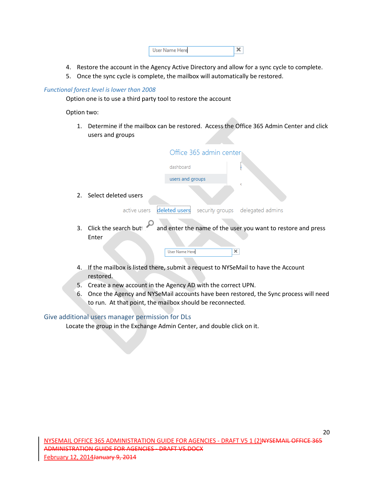| User Name Herel |  |
|-----------------|--|
|-----------------|--|

- 4. Restore the account in the Agency Active Directory and allow for a sync cycle to complete.
- 5. Once the sync cycle is complete, the mailbox will automatically be restored.

## *Functional forest level is lower than 2008*

Option one is to use a third party tool to restore the account

Option two:

1. Determine if the mailbox can be restored. Access the Office 365 Admin Center and click users and groups

|    |                                                                                               |                       | Office 365 admin center |                                                                                       |
|----|-----------------------------------------------------------------------------------------------|-----------------------|-------------------------|---------------------------------------------------------------------------------------|
|    |                                                                                               | dashboard             |                         | ł                                                                                     |
|    |                                                                                               | users and groups      |                         |                                                                                       |
|    | 2. Select deleted users                                                                       |                       |                         | c                                                                                     |
|    | active users                                                                                  | deleted users         |                         | security groups delegated admins                                                      |
|    | Enter                                                                                         | <b>User Name Here</b> | ×                       | 3. Click the search butt and enter the name of the user you want to restore and press |
| 4. | If the mailbox is listed there, submit a request to NYSeMail to have the Account<br>restored. |                       |                         |                                                                                       |

- 5. Create a new account in the Agency AD with the correct UPN.
- 6. Once the Agency and NYSeMail accounts have been restored, the Sync process will need to run. At that point, the mailbox should be reconnected.

## <span id="page-20-0"></span>Give additional users manager permission for DLs

Locate the group in the Exchange Admin Center, and double click on it.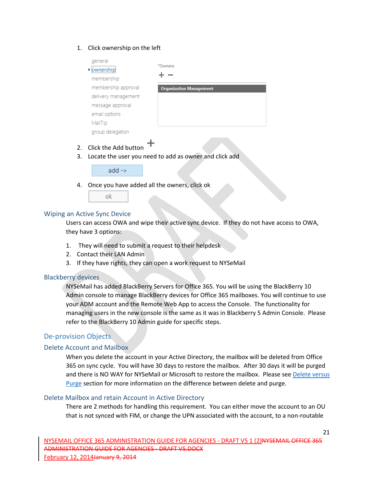#### 1. Click ownership on the left

|          | general<br>ownershir                         | *Owners:                                               |
|----------|----------------------------------------------|--------------------------------------------------------|
|          | membership                                   |                                                        |
|          | membership approval                          | <b>Organization Management</b>                         |
|          | delivery management                          |                                                        |
|          | message approval                             |                                                        |
|          | email options                                |                                                        |
|          | MailTip                                      |                                                        |
|          | group delegation                             |                                                        |
| 2.<br>3. | Click the Add button                         | Locate the user you need to add as owner and click add |
|          | $add \rightarrow$                            |                                                        |
| 4.       | Once you have added all the owners, click ok |                                                        |

#### <span id="page-21-0"></span>Wiping an Active Sync Device

Users can access OWA and wipe their active sync device. If they do not have access to OWA, they have 3 options:

- 1. They will need to submit a request to their helpdesk
- 2. Contact their LAN Admin

ok

3. If they have rights, they can open a work request to NYSeMail

#### <span id="page-21-1"></span>Blackberry devices

NYSeMail has added BlackBerry Servers for Office 365. You will be using the BlackBerry 10 Admin console to manage BlackBerry devices for Office 365 mailboxes. You will continue to use your ADM account and the Remote Web App to access the Console. The functionality for managing users in the new console is the same as it was in Blackberry 5 Admin Console. Please refer to the BlackBerry 10 Admin guide for specific steps.

## <span id="page-21-2"></span>De-provision Objects

#### <span id="page-21-3"></span>Delete Account and Mailbox

When you delete the account in your Active Directory, the mailbox will be deleted from Office 365 on sync cycle. You will have 30 days to restore the mailbox. After 30 days it will be purged and there is NO WAY for NYSeMail or Microsoft to restore the mailbox. Please se[e Delete versus](#page-4-0)  [Purge](#page-4-0) section for more information on the difference between delete and purge.

#### <span id="page-21-4"></span>Delete Mailbox and retain Account in Active Directory

There are 2 methods for handling this requirement. You can either move the account to an OU that is not synced with FIM, or change the UPN associated with the account, to a non-routable